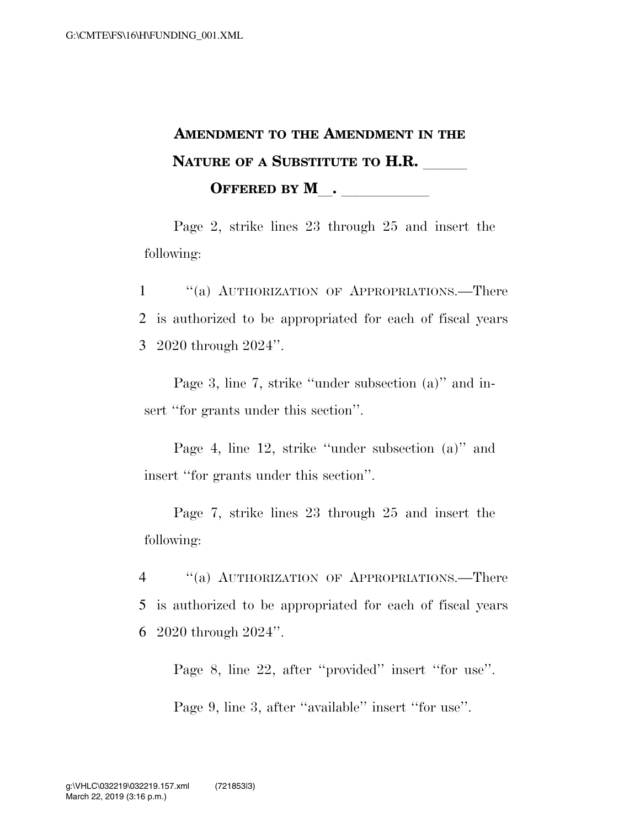## **AMENDMENT TO THE AMENDMENT IN THE NATURE OF A SUBSTITUTE TO H.R. OFFERED BY M**.

Page 2, strike lines 23 through 25 and insert the following:

1 ''(a) AUTHORIZATION OF APPROPRIATIONS.—There 2 is authorized to be appropriated for each of fiscal years 3 2020 through 2024''.

Page 3, line 7, strike "under subsection (a)" and insert "for grants under this section".

Page 4, line 12, strike ''under subsection (a)'' and insert ''for grants under this section''.

Page 7, strike lines 23 through 25 and insert the following:

4 ''(a) AUTHORIZATION OF APPROPRIATIONS.—There 5 is authorized to be appropriated for each of fiscal years 6 2020 through 2024''.

Page 8, line 22, after "provided" insert "for use".

Page 9, line 3, after ''available'' insert ''for use''.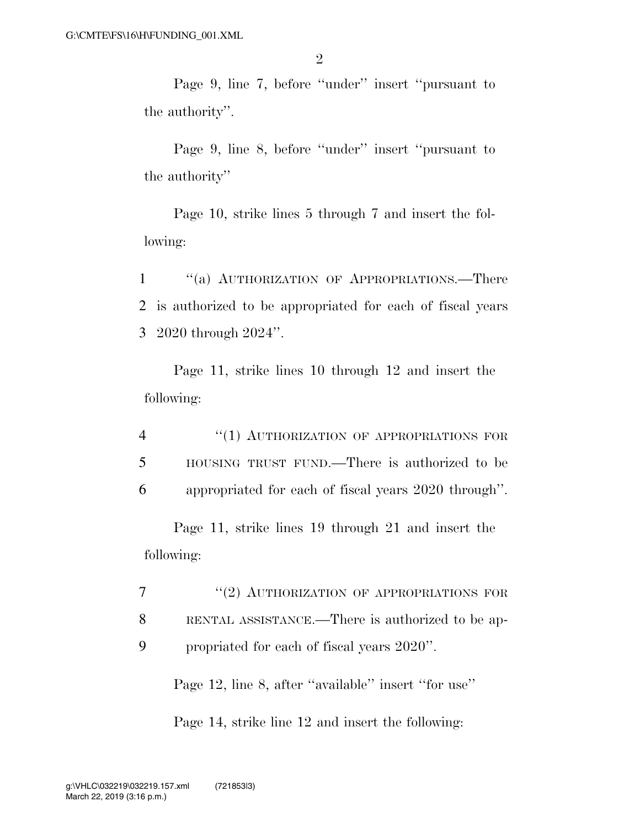Page 9, line 7, before ''under'' insert ''pursuant to the authority''.

Page 9, line 8, before ''under'' insert ''pursuant to the authority''

Page 10, strike lines 5 through 7 and insert the following:

1 ''(a) AUTHORIZATION OF APPROPRIATIONS.—There 2 is authorized to be appropriated for each of fiscal years 3 2020 through 2024''.

Page 11, strike lines 10 through 12 and insert the following:

4 "(1) AUTHORIZATION OF APPROPRIATIONS FOR 5 HOUSING TRUST FUND.—There is authorized to be 6 appropriated for each of fiscal years 2020 through''.

Page 11, strike lines 19 through 21 and insert the following:

7 "(2) AUTHORIZATION OF APPROPRIATIONS FOR 8 RENTAL ASSISTANCE.—There is authorized to be ap-9 propriated for each of fiscal years 2020''.

Page 12, line 8, after "available" insert "for use"

Page 14, strike line 12 and insert the following: